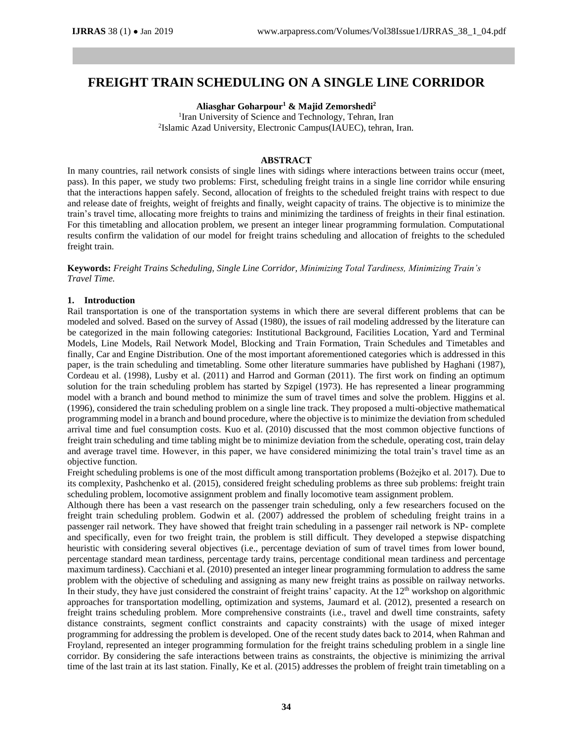# **FREIGHT TRAIN SCHEDULING ON A SINGLE LINE CORRIDOR**

**Aliasghar Goharpour<sup>1</sup> & Majid Zemorshedi<sup>2</sup>**

<sup>1</sup> Iran University of Science and Technology, Tehran, Iran 2 Islamic Azad University, Electronic Campus(IAUEC), tehran, Iran.

# **ABSTRACT**

In many countries, rail network consists of single lines with sidings where interactions between trains occur (meet, pass). In this paper, we study two problems: First, scheduling freight trains in a single line corridor while ensuring that the interactions happen safely. Second, allocation of freights to the scheduled freight trains with respect to due and release date of freights, weight of freights and finally, weight capacity of trains. The objective is to minimize the train's travel time, allocating more freights to trains and minimizing the tardiness of freights in their final estination. For this timetabling and allocation problem, we present an integer linear programming formulation. Computational results confirm the validation of our model for freight trains scheduling and allocation of freights to the scheduled freight train.

**Keywords:** *Freight Trains Scheduling, Single Line Corridor, Minimizing Total Tardiness, Minimizing Train's Travel Time.*

#### **1. Introduction**

Rail transportation is one of the transportation systems in which there are several different problems that can be modeled and solved. Based on the survey of Assad (1980), the issues of rail modeling addressed by the literature can be categorized in the main following categories: Institutional Background, Facilities Location, Yard and Terminal Models, Line Models, Rail Network Model, Blocking and Train Formation, Train Schedules and Timetables and finally, Car and Engine Distribution. One of the most important aforementioned categories which is addressed in this paper, is the train scheduling and timetabling. Some other literature summaries have published by Haghani (1987), Cordeau et al. (1998), Lusby et al. (2011) and Harrod and Gorman (2011). The first work on finding an optimum solution for the train scheduling problem has started by Szpigel (1973). He has represented a linear programming model with a branch and bound method to minimize the sum of travel times and solve the problem. Higgins et al. (1996), considered the train scheduling problem on a single line track. They proposed a multi-objective mathematical programming model in a branch and bound procedure, where the objective is to minimize the deviation from scheduled arrival time and fuel consumption costs. Kuo et al. (2010) discussed that the most common objective functions of freight train scheduling and time tabling might be to minimize deviation from the schedule, operating cost, train delay and average travel time. However, in this paper, we have considered minimizing the total train's travel time as an objective function.

Freight scheduling problems is one of the most difficult among transportation problems (Bożejko et al. 2017). Due to its complexity, Pashchenko et al. (2015), considered freight scheduling problems as three sub problems: freight train scheduling problem, locomotive assignment problem and finally locomotive team assignment problem.

Although there has been a vast research on the passenger train scheduling, only a few researchers focused on the freight train scheduling problem. Godwin et al. (2007) addressed the problem of scheduling freight trains in a passenger rail network. They have showed that freight train scheduling in a passenger rail network is NP- complete and specifically, even for two freight train, the problem is still difficult. They developed a stepwise dispatching heuristic with considering several objectives (i.e., percentage deviation of sum of travel times from lower bound, percentage standard mean tardiness, percentage tardy trains, percentage conditional mean tardiness and percentage maximum tardiness). Cacchiani et al. (2010) presented an integer linear programming formulation to address the same problem with the objective of scheduling and assigning as many new freight trains as possible on railway networks. In their study, they have just considered the constraint of freight trains' capacity. At the 12<sup>th</sup> workshop on algorithmic approaches for transportation modelling, optimization and systems, Jaumard et al. (2012), presented a research on freight trains scheduling problem. More comprehensive constraints (i.e., travel and dwell time constraints, safety distance constraints, segment conflict constraints and capacity constraints) with the usage of mixed integer programming for addressing the problem is developed. One of the recent study dates back to 2014, when Rahman and Froyland, represented an integer programming formulation for the freight trains scheduling problem in a single line corridor. By considering the safe interactions between trains as constraints, the objective is minimizing the arrival time of the last train at its last station. Finally, Ke et al. (2015) addresses the problem of freight train timetabling on a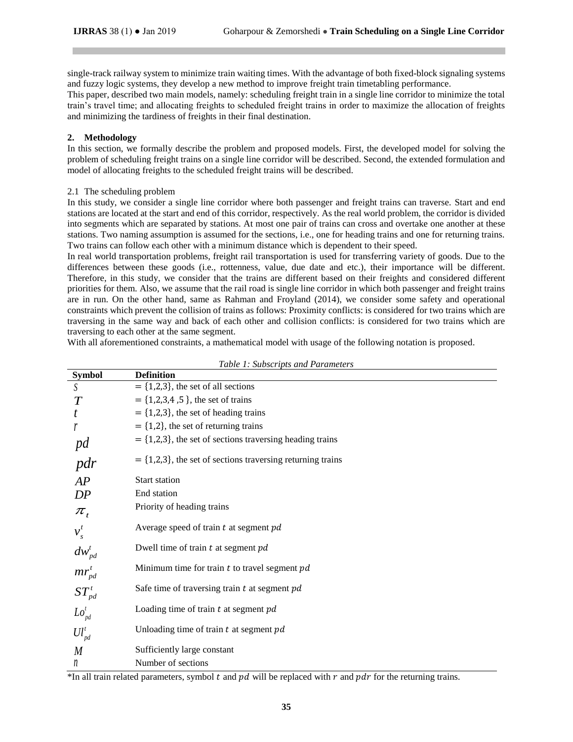single-track railway system to minimize train waiting times. With the advantage of both fixed-block signaling systems and fuzzy logic systems, they develop a new method to improve freight train timetabling performance.

This paper, described two main models, namely: scheduling freight train in a single line corridor to minimize the total train's travel time; and allocating freights to scheduled freight trains in order to maximize the allocation of freights and minimizing the tardiness of freights in their final destination.

# **2. Methodology**

In this section, we formally describe the problem and proposed models. First, the developed model for solving the problem of scheduling freight trains on a single line corridor will be described. Second, the extended formulation and model of allocating freights to the scheduled freight trains will be described.

## 2.1 The scheduling problem

In this study, we consider a single line corridor where both passenger and freight trains can traverse. Start and end stations are located at the start and end of this corridor, respectively. As the real world problem, the corridor is divided into segments which are separated by stations. At most one pair of trains can cross and overtake one another at these stations. Two naming assumption is assumed for the sections, i.e., one for heading trains and one for returning trains. Two trains can follow each other with a minimum distance which is dependent to their speed.

In real world transportation problems, freight rail transportation is used for transferring variety of goods. Due to the differences between these goods (i.e., rottenness, value, due date and etc.), their importance will be different. Therefore, in this study, we consider that the trains are different based on their freights and considered different priorities for them. Also, we assume that the rail road is single line corridor in which both passenger and freight trains are in run. On the other hand, same as Rahman and Froyland (2014), we consider some safety and operational constraints which prevent the collision of trains as follows: Proximity conflicts: is considered for two trains which are traversing in the same way and back of each other and collision conflicts: is considered for two trains which are traversing to each other at the same segment.

With all aforementioned constraints, a mathematical model with usage of the following notation is proposed.

| <b>Symbol</b>        | racio 1, sucsonipus and randicum<br><b>Definition</b>        |
|----------------------|--------------------------------------------------------------|
| S                    | $= \{1,2,3\}$ , the set of all sections                      |
| $\boldsymbol{T}$     | $= \{1,2,3,4,5\}$ , the set of trains                        |
|                      | $=$ {1,2,3}, the set of heading trains                       |
|                      | $=$ {1,2}, the set of returning trains                       |
| pd                   | $=$ {1,2,3}, the set of sections traversing heading trains   |
| pdr                  | $=$ {1,2,3}, the set of sections traversing returning trains |
| AP                   | <b>Start station</b>                                         |
| DP                   | End station                                                  |
| $\pi_{_t}$           | Priority of heading trains                                   |
|                      | Average speed of train $t$ at segment $pd$                   |
| $dw_{pd}^i$          | Dwell time of train $t$ at segment $pd$                      |
| $mr_{pd}^{t}$        | Minimum time for train $t$ to travel segment $pd$            |
| ${ST}_{pd}^t$        | Safe time of traversing train $t$ at segment $pd$            |
| $Lo_{\mathit{pd}}^t$ | Loading time of train $t$ at segment $pd$                    |
| $UU_{pd}^t$          | Unloading time of train $t$ at segment $pd$                  |
| $\overline{M}$       | Sufficiently large constant                                  |
| n                    | Number of sections                                           |

\*In all train related parameters, symbol  $t$  and  $pd$  will be replaced with  $r$  and  $pdr$  for the returning trains.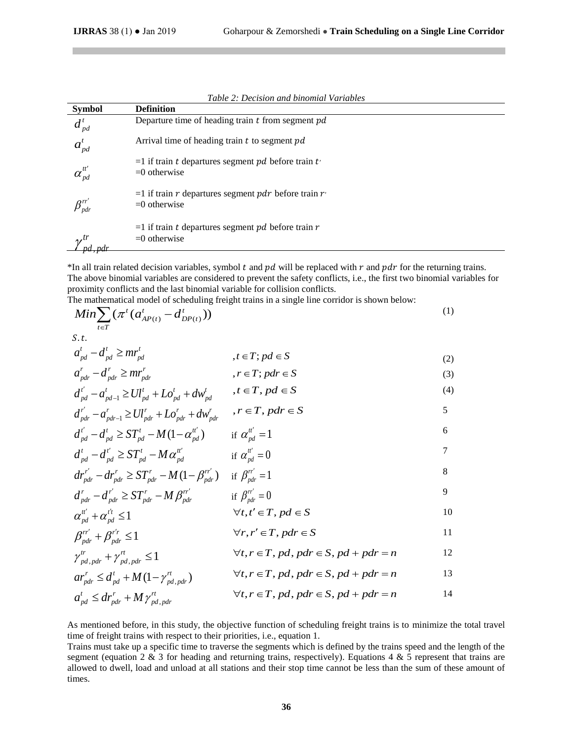$d_{pd}$ <sup>*t*</sup>

| <b>Symbol</b>    | Table 2: Decision and binomial variables<br><b>Definition</b>           |
|------------------|-------------------------------------------------------------------------|
| $d^{\,t}_{\,pd}$ | Departure time of heading train $t$ from segment $pd$                   |
| $a_{pd}^t$       | Arrival time of heading train t to segment pd                           |
|                  | $=$ 1 if train t departures segment pd before train t<br>$=0$ otherwise |
|                  | $=1$ if train r departures segment pdr before train r<br>$=0$ otherwise |
|                  | $=$ 1 if train t departures segment pd before train r<br>$=0$ otherwise |

*Table 2: Decision and binomial Variables*

\*In all train related decision variables, symbol  $t$  and  $pd$  will be replaced with  $r$  and  $pdr$  for the returning trains. The above binomial variables are considered to prevent the safety conflicts, i.e., the first two binomial variables for proximity conflicts and the last binomial variable for collision conflicts.

The mathematical model of scheduling freight trains in a single line corridor is shown below:

$$
Min \sum_{t \in T} (\pi^t (a_{AP(t)}^t - d_{DP(t)}^t))
$$
\n(1)

$$
a_{pd}^t - d_{pd}^t \ge mr_{pd}^t \qquad , t \in T; pd \in S
$$
 (2)

$$
a_{\text{pdr}}^r - d_{\text{pdr}}^r \ge mr_{\text{pdr}}^r \qquad , r \in T; \text{pdr} \in S \tag{3}
$$

$$
d'_{pd} - a'_{pd-1} \ge U l'_{pd} + L o'_{pd} + d w'_{pd} , \quad t \in T, pd \in S
$$
 (4)

$$
d_{pdr}^{r'} - a_{pdr-1}^{r} \ge Ul_{pdr}^{r} + Lo_{pdr}^{r} + dw_{pdr}^{r} , r \in T, pdr \in S
$$
  
\n
$$
d_{pd}^{r'} - d_{pd}^{t} \ge ST_{pd}^{t} - M(1 - \alpha_{pd}^{t'}) \qquad \text{if } \alpha_{pd}^{t'} = 1
$$

$$
\int_{pd}^{t} d^{t'} p d^{t'} \geq ST_{pd}^{t} - M \alpha_{pd}^{u'} \qquad \text{if } \alpha_{pd}^{u'} = 0
$$

$$
dr_{\text{pdr}}^{r'} - dr_{\text{pdr}}^{r} \geq ST_{\text{pdr}}^{r} - M\left(1 - \beta_{\text{pdr}}^{r'}\right) \quad \text{if } \beta_{\text{pdr}}^{r'} = 1 \tag{8}
$$

$$
d_{pdr}^r - d_{pdr}^{r'} \ge ST_{pdr}^r - M \beta_{pdr}^{rr'} \qquad \text{if } \beta_{pdr}^{rr'} = 0
$$
  
\n
$$
\alpha_{pd}^{u'} + \alpha_{pd}^{t'} \le 1 \qquad \forall t, t' \in T, pd \in S
$$

$$
\beta_{\textit{pdr}}^{r'} + \beta_{\textit{pdr}}^{r'} \le 1 \qquad \forall r, r' \in T, \textit{pdr} \in S \qquad 11
$$

$$
\gamma_{pd,pdr}^{tr} + \gamma_{pd,pdr}^{rt} \le 1 \qquad \forall t, r \in T, pd, pdr \in S, pd + pdr = n \qquad 12
$$

$$
ar_{\text{pdr}}^r \leq d_{\text{pd}}^t + M(1 - \gamma_{\text{pd},\text{pdr}}^r) \qquad \forall t, r \in T, \text{pd}, \text{pdr} \in S, \text{pd} + \text{pdr} = n \qquad 13
$$

$$
a_{pd}^t \leq dr_{pdr}^r + M\gamma_{pd,pdr}^{rt} \qquad \qquad \forall t, r \in T, pd, pdr \in S, pd + pdr = n
$$

As mentioned before, in this study, the objective function of scheduling freight trains is to minimize the total travel time of freight trains with respect to their priorities, i.e., equation 1.

Trains must take up a specific time to traverse the segments which is defined by the trains speed and the length of the segment (equation 2  $\&$  3 for heading and returning trains, respectively). Equations 4  $\&$  5 represent that trains are allowed to dwell, load and unload at all stations and their stop time cannot be less than the sum of these amount of times.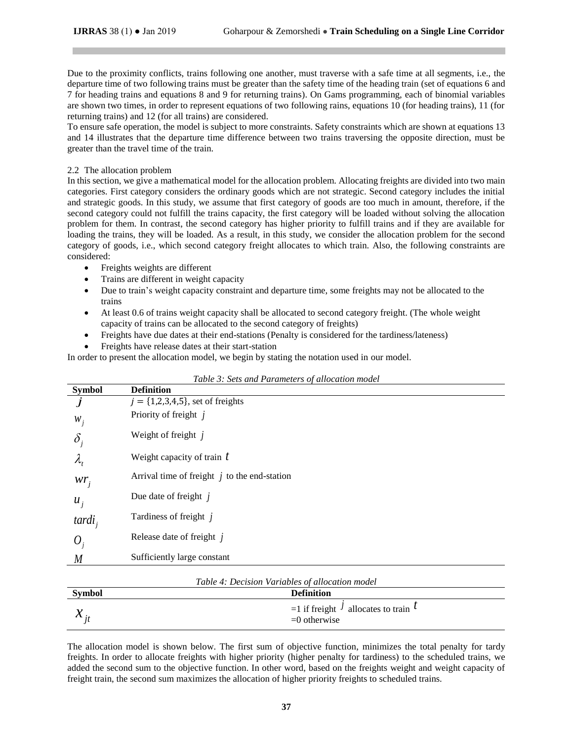Due to the proximity conflicts, trains following one another, must traverse with a safe time at all segments, i.e., the departure time of two following trains must be greater than the safety time of the heading train (set of equations 6 and 7 for heading trains and equations 8 and 9 for returning trains). On Gams programming, each of binomial variables are shown two times, in order to represent equations of two following rains, equations 10 (for heading trains), 11 (for returning trains) and 12 (for all trains) are considered.

To ensure safe operation, the model is subject to more constraints. Safety constraints which are shown at equations 13 and 14 illustrates that the departure time difference between two trains traversing the opposite direction, must be greater than the travel time of the train.

## 2.2 The allocation problem

In this section, we give a mathematical model for the allocation problem. Allocating freights are divided into two main categories. First category considers the ordinary goods which are not strategic. Second category includes the initial and strategic goods. In this study, we assume that first category of goods are too much in amount, therefore, if the second category could not fulfill the trains capacity, the first category will be loaded without solving the allocation problem for them. In contrast, the second category has higher priority to fulfill trains and if they are available for loading the trains, they will be loaded. As a result, in this study, we consider the allocation problem for the second category of goods, i.e., which second category freight allocates to which train. Also, the following constraints are considered:

- Freights weights are different
- Trains are different in weight capacity
- Due to train's weight capacity constraint and departure time, some freights may not be allocated to the trains
- At least 0.6 of trains weight capacity shall be allocated to second category freight. (The whole weight capacity of trains can be allocated to the second category of freights)
- Freights have due dates at their end-stations (Penalty is considered for the tardiness/lateness)
- Freights have release dates at their start-station

In order to present the allocation model, we begin by stating the notation used in our model.

| <b>Symbol</b> | Tuble 5. Sets and I arameters of anotation model<br><b>Definition</b> |
|---------------|-----------------------------------------------------------------------|
|               | $j = \{1,2,3,4,5\}$ , set of freights                                 |
| $W_i$         | Priority of freight j                                                 |
| $\delta$      | Weight of freight j                                                   |
| $\lambda_{i}$ | Weight capacity of train $t$                                          |
| $wr_i$        | Arrival time of freight $j$ to the end-station                        |
| $u_i$         | Due date of freight $j$                                               |
| $tardi_i$     | Tardiness of freight j                                                |
| $\theta_{i}$  | Release date of freight $j$                                           |
| M             | Sufficiently large constant                                           |

*Table 3: Sets and Parameters of allocation model*

| <b>Symbol</b>                | <b>Definition</b>                                               |
|------------------------------|-----------------------------------------------------------------|
| ጎላ                           | $=$ 1 if freight $\frac{1}{2}$ allocates to train $\frac{1}{2}$ |
| $\boldsymbol{\mathcal{N}}$ : | $=0$ otherwise                                                  |

The allocation model is shown below. The first sum of objective function, minimizes the total penalty for tardy freights. In order to allocate freights with higher priority (higher penalty for tardiness) to the scheduled trains, we added the second sum to the objective function. In other word, based on the freights weight and weight capacity of freight train, the second sum maximizes the allocation of higher priority freights to scheduled trains.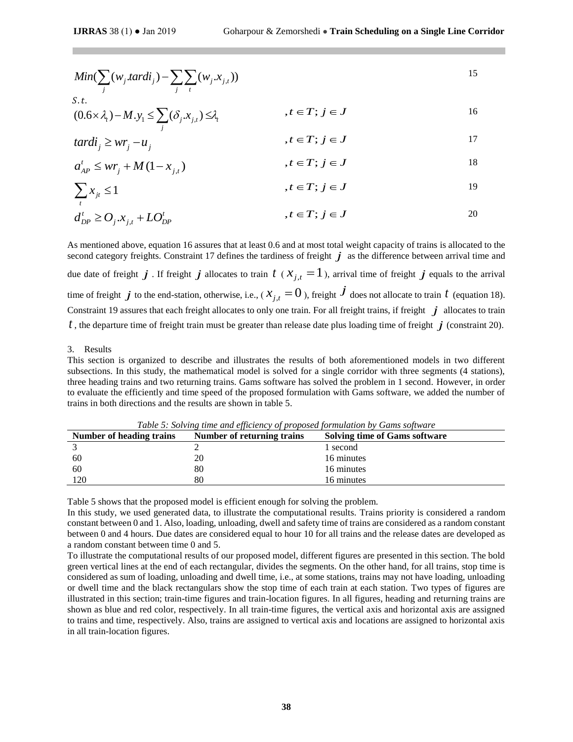$$
Min(\sum_{j}(w_j.tard_i) - \sum_{j} \sum_{t}(w_j.x_{j,t}))
$$

S.t.  
\n
$$
(0.6 \times \lambda_i) - M.y_1 \le \sum_j (\delta_j.x_{j,t}) \le \lambda_i, \qquad t \in T; j \in J
$$

$$
tardi_j \ge wr_j - u_j \qquad , t \in T; j \in J \qquad 17
$$

$$
a'_{AP} \le wr_j + M(1 - x_{j,t}) \qquad , t \in T; j \in J
$$

$$
\sum x_{jt} \le 1 \qquad \qquad , t \in T; j \in J \qquad \qquad 19
$$

$$
d_{DP}^t \geq O_j \cdot x_{j,t} + LO_{DP}^t \qquad \qquad , t \in T; j \in J \qquad \qquad 20
$$

As mentioned above, equation 16 assures that at least 0.6 and at most total weight capacity of trains is allocated to the second category freights. Constraint 17 defines the tardiness of freight  $j$  as the difference between arrival time and due date of freight  $j$ . If freight  $j$  allocates to train  $t$  ( $x_{j,t} = 1$ ), arrival time of freight  $j$  equals to the arrival time of freight  $j$  to the end-station, otherwise, i.e., (  $x_{j,t}=0$  ), freight  $\dot{J}$  does not allocate to train  $t$  (equation 18). Constraint 19 assures that each freight allocates to only one train. For all freight trains, if freight  $j$  allocates to train  $t$  , the departure time of freight train must be greater than release date plus loading time of freight  $\,j$  (constraint 20).

#### 3. Results

This section is organized to describe and illustrates the results of both aforementioned models in two different subsections. In this study, the mathematical model is solved for a single corridor with three segments (4 stations), three heading trains and two returning trains. Gams software has solved the problem in 1 second. However, in order to evaluate the efficiently and time speed of the proposed formulation with Gams software, we added the number of trains in both directions and the results are shown in table 5.

| Number of heading trains | Number of returning trains | <b>Solving time of Gams software</b> |
|--------------------------|----------------------------|--------------------------------------|
|                          |                            | 1 second                             |
| 60                       | 20                         | 16 minutes                           |
| 60                       | 80                         | 16 minutes                           |
| 120                      | 80                         | 16 minutes                           |

*Table 5: Solving time and efficiency of proposed formulation by Gams software*

Table 5 shows that the proposed model is efficient enough for solving the problem.

In this study, we used generated data, to illustrate the computational results. Trains priority is considered a random constant between 0 and 1. Also, loading, unloading, dwell and safety time of trains are considered as a random constant between 0 and 4 hours. Due dates are considered equal to hour 10 for all trains and the release dates are developed as a random constant between time 0 and 5.

To illustrate the computational results of our proposed model, different figures are presented in this section. The bold green vertical lines at the end of each rectangular, divides the segments. On the other hand, for all trains, stop time is considered as sum of loading, unloading and dwell time, i.e., at some stations, trains may not have loading, unloading or dwell time and the black rectangulars show the stop time of each train at each station. Two types of figures are illustrated in this section; train-time figures and train-location figures. In all figures, heading and returning trains are shown as blue and red color, respectively. In all train-time figures, the vertical axis and horizontal axis are assigned to trains and time, respectively. Also, trains are assigned to vertical axis and locations are assigned to horizontal axis in all train-location figures.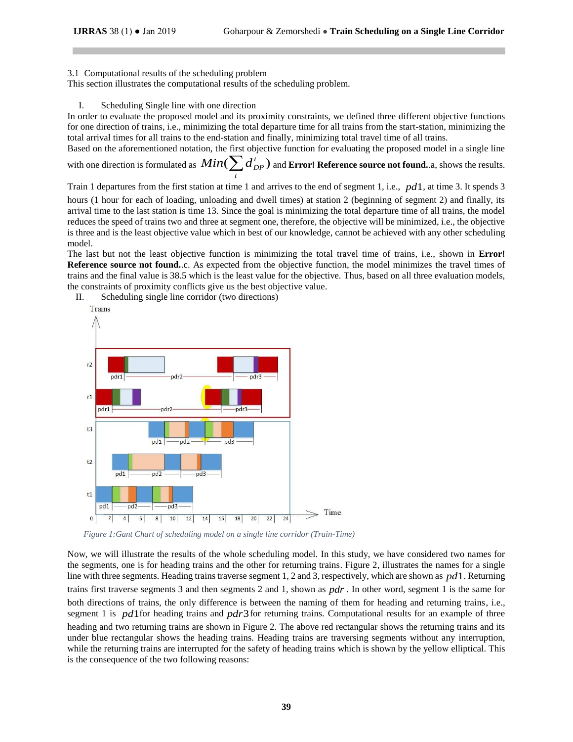## 3.1 Computational results of the scheduling problem

This section illustrates the computational results of the scheduling problem.

## I. Scheduling Single line with one direction

In order to evaluate the proposed model and its proximity constraints, we defined three different objective functions for one direction of trains, i.e., minimizing the total departure time for all trains from the start-station, minimizing the total arrival times for all trains to the end-station and finally, minimizing total travel time of all trains.

Based on the aforementioned notation, the first objective function for evaluating the proposed model in a single line with one direction is formulated as  $\mathit{Min}(\sum d_{DP}^t)$  and **Error! Reference source not found.**.a, shows the results. *t*

Train 1 departures from the first station at time 1 and arrives to the end of segment 1, i.e., *pd*1 , at time 3. It spends 3 hours (1 hour for each of loading, unloading and dwell times) at station 2 (beginning of segment 2) and finally, its arrival time to the last station is time 13. Since the goal is minimizing the total departure time of all trains, the model reduces the speed of trains two and three at segment one, therefore, the objective will be minimized, i.e., the objective is three and is the least objective value which in best of our knowledge, cannot be achieved with any other scheduling model.

The last but not the least objective function is minimizing the total travel time of trains, i.e., shown in **Error! Reference source not found.**.c. As expected from the objective function, the model minimizes the travel times of trains and the final value is 38.5 which is the least value for the objective. Thus, based on all three evaluation models, the constraints of proximity conflicts give us the best objective value.

Trains  $r2$ pdr1 pdr<sub>2</sub> pdr3  $r1$ pdr1 -pdr2 pdr3  $t3$  $pd1$ pd<sub>2</sub> pd3  $t2$ pd<sub>2</sub> pd1 pd3  $t1$ pd1 pd<sub>2</sub> pd3  $\Rightarrow$  Time  $\circ$  $\overline{2}$  $\overline{4}$  $6 \mid$  $8$  10  $12$  $\boxed{18}$  $|20|$  $22 \mid 24$ 

II. Scheduling single line corridor (two directions)

<span id="page-5-0"></span>*Figure 1:Gant Chart of scheduling model on a single line corridor (Train-Time)*

Now, we will illustrate the results of the whole scheduling model. In this study, we have considered two names for the segments, one is for heading trains and the other for returning trains. [Figure 2,](#page-5-0) illustrates the names for a single line with three segments. Heading trains traverse segment 1, 2 and 3, respectively, which are shown as *pd*1. Returning trains first traverse segments 3 and then segments 2 and 1, shown as *pdr* . In other word, segment 1 is the same for both directions of trains, the only difference is between the naming of them for heading and returning trains, i.e., segment 1 is pd1for heading trains and pdr3 for returning trains. Computational results for an example of three heading and two returning trains are shown in [Figure 2.](#page-5-0) The above red rectangular shows the returning trains and its under blue rectangular shows the heading trains. Heading trains are traversing segments without any interruption, while the returning trains are interrupted for the safety of heading trains which is shown by the yellow elliptical. This is the consequence of the two following reasons: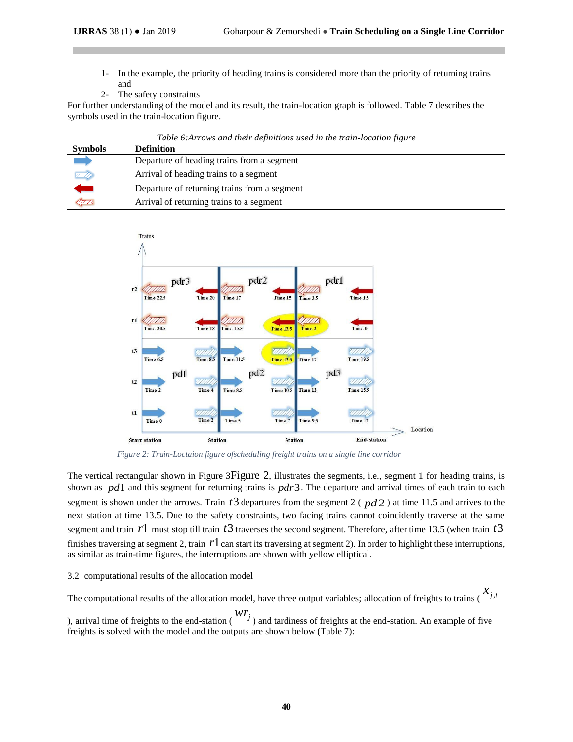- 1- In the example, the priority of heading trains is considered more than the priority of returning trains and
- 2- The safety constraints

For further understanding of the model and its result, the train-location graph is followed. Table 7 describes the symbols used in the train-location figure.

|                | Table 6: Arrows and their definitions used in the train-location figure |
|----------------|-------------------------------------------------------------------------|
| <b>Symbols</b> | <b>Definition</b>                                                       |
|                | Departure of heading trains from a segment                              |
| <b>VIIII</b>   | Arrival of heading trains to a segment                                  |
|                | Departure of returning trains from a segment                            |
| LIIIA          | Arrival of returning trains to a segment                                |



<span id="page-6-0"></span>*Figure 2: Train-Loctaion figure ofscheduling freight trains on a single line corridor*

The vertical rectangular shown in [Figure 3](#page-6-0)[Figure 2](#page-5-0), illustrates the segments, i.e., segment 1 for heading trains, is shown as  $pd1$  and this segment for returning trains is  $pdr3$ . The departure and arrival times of each train to each segment is shown under the arrows. Train  $t3$  departures from the segment 2 ( $pd2$ ) at time 11.5 and arrives to the next station at time 13.5. Due to the safety constraints, two facing trains cannot coincidently traverse at the same segment and train  $r1$  must stop till train  $t3$  traverses the second segment. Therefore, after time 13.5 (when train  $t3$ finishes traversing at segment 2, train  $r1$  can start its traversing at segment 2). In order to highlight these interruptions, as similar as train-time figures, the interruptions are shown with yellow elliptical.

# 3.2 computational results of the allocation model

The computational results of the allocation model, have three output variables; allocation of freights to trains ( $x_{j,t}$ ), arrival time of freights to the end-station ( $wr_j$ ) and tardiness of freights at the end-station. An example of five freights is solved with the model and the outputs are shown below [\(Table 7\)](#page-7-0):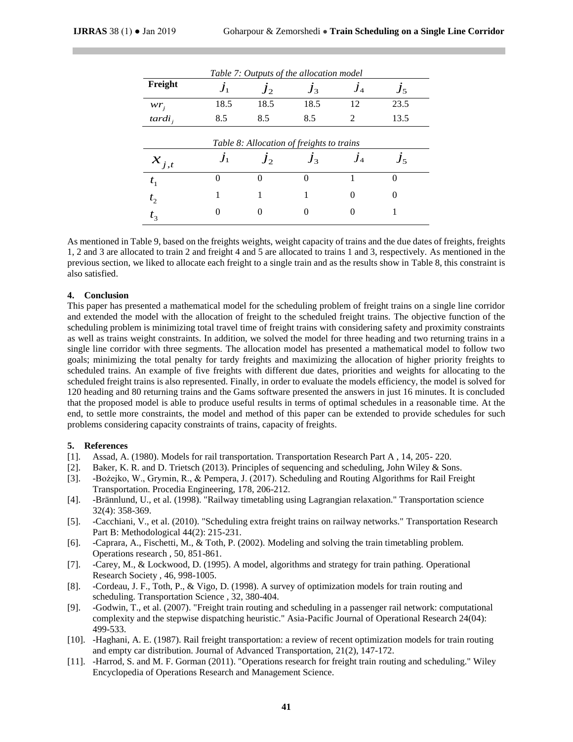<span id="page-7-0"></span>

| Table 7: Outputs of the allocation model  |      |       |       |                |         |  |
|-------------------------------------------|------|-------|-------|----------------|---------|--|
| Freight                                   |      | $J_2$ | $J_3$ | $J_4$          | $J_5$   |  |
| $wr_i$                                    | 18.5 | 18.5  | 18.5  | 12             | 23.5    |  |
| $tardi_i$                                 | 8.5  | 8.5   | 8.5   | $\mathfrak{D}$ | 13.5    |  |
| Table 8: Allocation of freights to trains |      |       |       |                |         |  |
| $x_{j,t}$                                 |      | $J_2$ | $J_3$ | $J_4$          | $J_{5}$ |  |
| $t_{1}$                                   | 0    |       |       |                | 0       |  |
| $t_{2}$                                   |      |       |       | $\Omega$       | 0       |  |
| $t_{3}$                                   |      |       |       |                |         |  |

<span id="page-7-1"></span>As mentioned in Table 9, based on the freights weights, weight capacity of trains and the due dates of freights, freights 1, 2 and 3 are allocated to train 2 and freight 4 and 5 are allocated to trains 1 and 3, respectively. As mentioned in the previous section, we liked to allocate each freight to a single train and as the results show i[n Table 8,](#page-7-1) this constraint is also satisfied.

# **4. Conclusion**

This paper has presented a mathematical model for the scheduling problem of freight trains on a single line corridor and extended the model with the allocation of freight to the scheduled freight trains. The objective function of the scheduling problem is minimizing total travel time of freight trains with considering safety and proximity constraints as well as trains weight constraints. In addition, we solved the model for three heading and two returning trains in a single line corridor with three segments. The allocation model has presented a mathematical model to follow two goals; minimizing the total penalty for tardy freights and maximizing the allocation of higher priority freights to scheduled trains. An example of five freights with different due dates, priorities and weights for allocating to the scheduled freight trains is also represented. Finally, in order to evaluate the models efficiency, the model is solved for 120 heading and 80 returning trains and the Gams software presented the answers in just 16 minutes. It is concluded that the proposed model is able to produce useful results in terms of optimal schedules in a reasonable time. At the end, to settle more constraints, the model and method of this paper can be extended to provide schedules for such problems considering capacity constraints of trains, capacity of freights.

# **5. References**

- [1]. Assad, A. (1980). Models for rail transportation. Transportation Research Part A , 14, 205- 220.
- [2]. Baker, K. R. and D. Trietsch (2013). Principles of sequencing and scheduling, John Wiley & Sons.
- [3]. -Bożejko, W., Grymin, R., & Pempera, J. (2017). Scheduling and Routing Algorithms for Rail Freight Transportation. Procedia Engineering, 178, 206-212.
- [4]. -Brännlund, U., et al. (1998). "Railway timetabling using Lagrangian relaxation." Transportation science 32(4): 358-369.
- [5]. -Cacchiani, V., et al. (2010). "Scheduling extra freight trains on railway networks." Transportation Research Part B: Methodological 44(2): 215-231.
- [6]. -Caprara, A., Fischetti, M., & Toth, P. (2002). Modeling and solving the train timetabling problem. Operations research , 50, 851-861.
- [7]. -Carey, M., & Lockwood, D. (1995). A model, algorithms and strategy for train pathing. Operational Research Society , 46, 998-1005.
- [8]. -Cordeau, J. F., Toth, P., & Vigo, D. (1998). A survey of optimization models for train routing and scheduling. Transportation Science , 32, 380-404.
- [9]. -Godwin, T., et al. (2007). "Freight train routing and scheduling in a passenger rail network: computational complexity and the stepwise dispatching heuristic." Asia-Pacific Journal of Operational Research 24(04): 499-533.
- [10]. -Haghani, A. E. (1987). Rail freight transportation: a review of recent optimization models for train routing and empty car distribution. Journal of Advanced Transportation, 21(2), 147-172.
- [11]. -Harrod, S. and M. F. Gorman (2011). "Operations research for freight train routing and scheduling." Wiley Encyclopedia of Operations Research and Management Science.